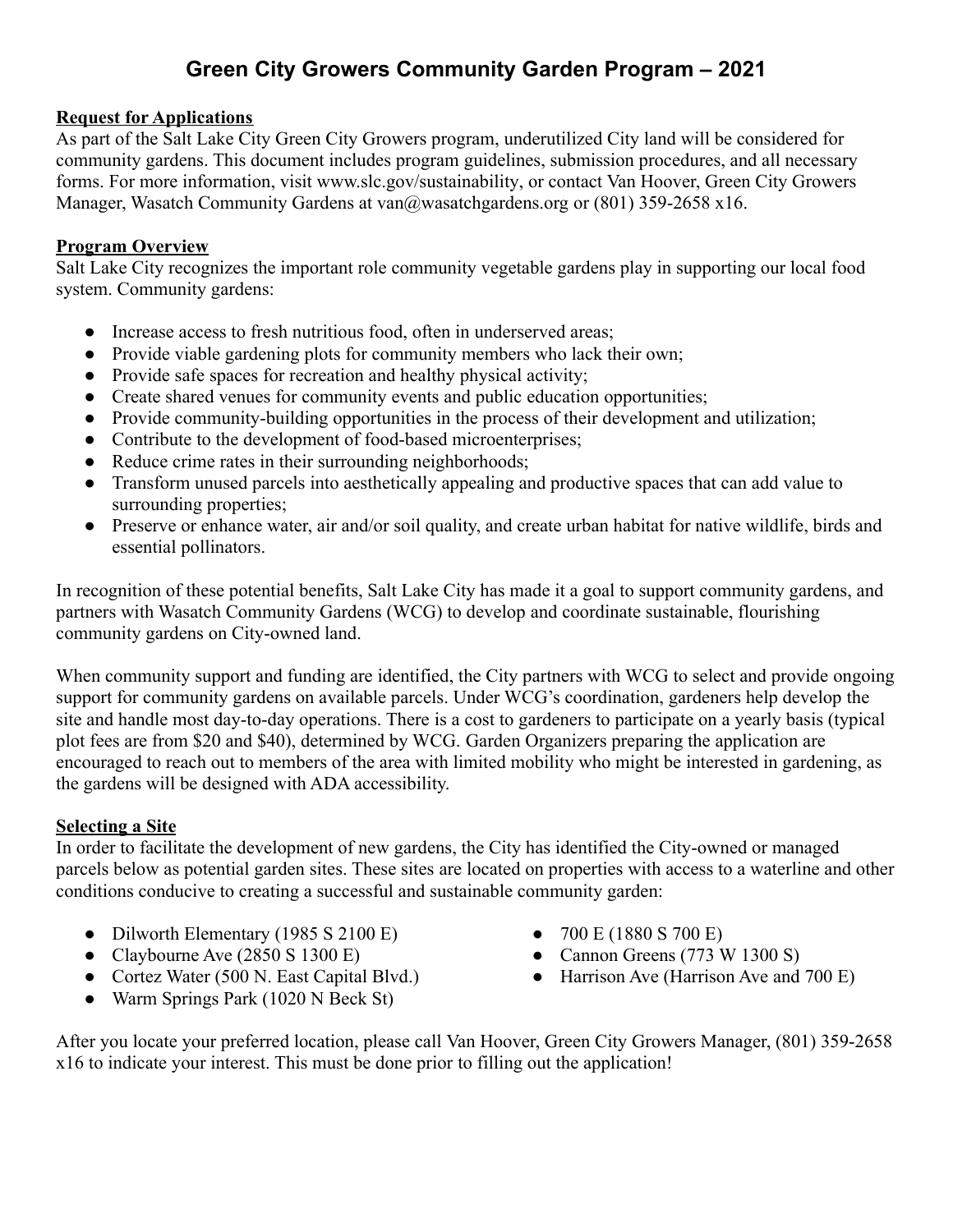# **Green City Growers Community Garden Program – 2021**

#### **Request for Applications**

As part of the Salt Lake City Green City Growers program, underutilized City land will be considered for community gardens. This document includes program guidelines, submission procedures, and all necessary forms. For more information, visit [www.slc.gov/sustainability,](https://www.slc.gov/sustainability) or contact Van Hoover, Green City Growers Manager, Wasatch Community Gardens at van@wasatchgardens.org or (801) 359-2658 x16.

#### **Program Overview**

Salt Lake City recognizes the important role community vegetable gardens play in supporting our local food system. Community gardens:

- Increase access to fresh nutritious food, often in underserved areas;
- Provide viable gardening plots for community members who lack their own;
- Provide safe spaces for recreation and healthy physical activity;
- Create shared venues for community events and public education opportunities;
- Provide community-building opportunities in the process of their development and utilization;
- Contribute to the development of food-based microenterprises;
- Reduce crime rates in their surrounding neighborhoods;
- Transform unused parcels into aesthetically appealing and productive spaces that can add value to surrounding properties;
- Preserve or enhance water, air and/or soil quality, and create urban habitat for native wildlife, birds and essential pollinators.

In recognition of these potential benefits, Salt Lake City has made it a goal to support community gardens, and partners with Wasatch Community Gardens (WCG) to develop and coordinate sustainable, flourishing community gardens on City-owned land.

When community support and funding are identified, the City partners with WCG to select and provide ongoing support for community gardens on available parcels. Under WCG's coordination, gardeners help develop the site and handle most day-to-day operations. There is a cost to gardeners to participate on a yearly basis (typical plot fees are from \$20 and \$40), determined by WCG. Garden Organizers preparing the application are encouraged to reach out to members of the area with limited mobility who might be interested in gardening, as the gardens will be designed with ADA accessibility.

#### **Selecting a Site**

In order to facilitate the development of new gardens, the City has identified the City-owned or managed parcels below as potential garden sites. These sites are located on properties with access to a waterline and other conditions conducive to creating a successful and sustainable community garden:

- Dilworth Elementary (1985 S 2100 E)
- Claybourne Ave  $(2850 S 1300 E)$
- Cortez Water (500 N. East Capital Blvd.)
- Warm Springs Park (1020 N Beck St)
- 700 E (1880 S 700 E)
- Cannon Greens  $(773 \text{ W } 1300 \text{ S})$
- Harrison Ave (Harrison Ave and  $700 E$ )

After you locate your preferred location, please call Van Hoover, Green City Growers Manager, (801) 359-2658 x16 to indicate your interest. This must be done prior to filling out the application!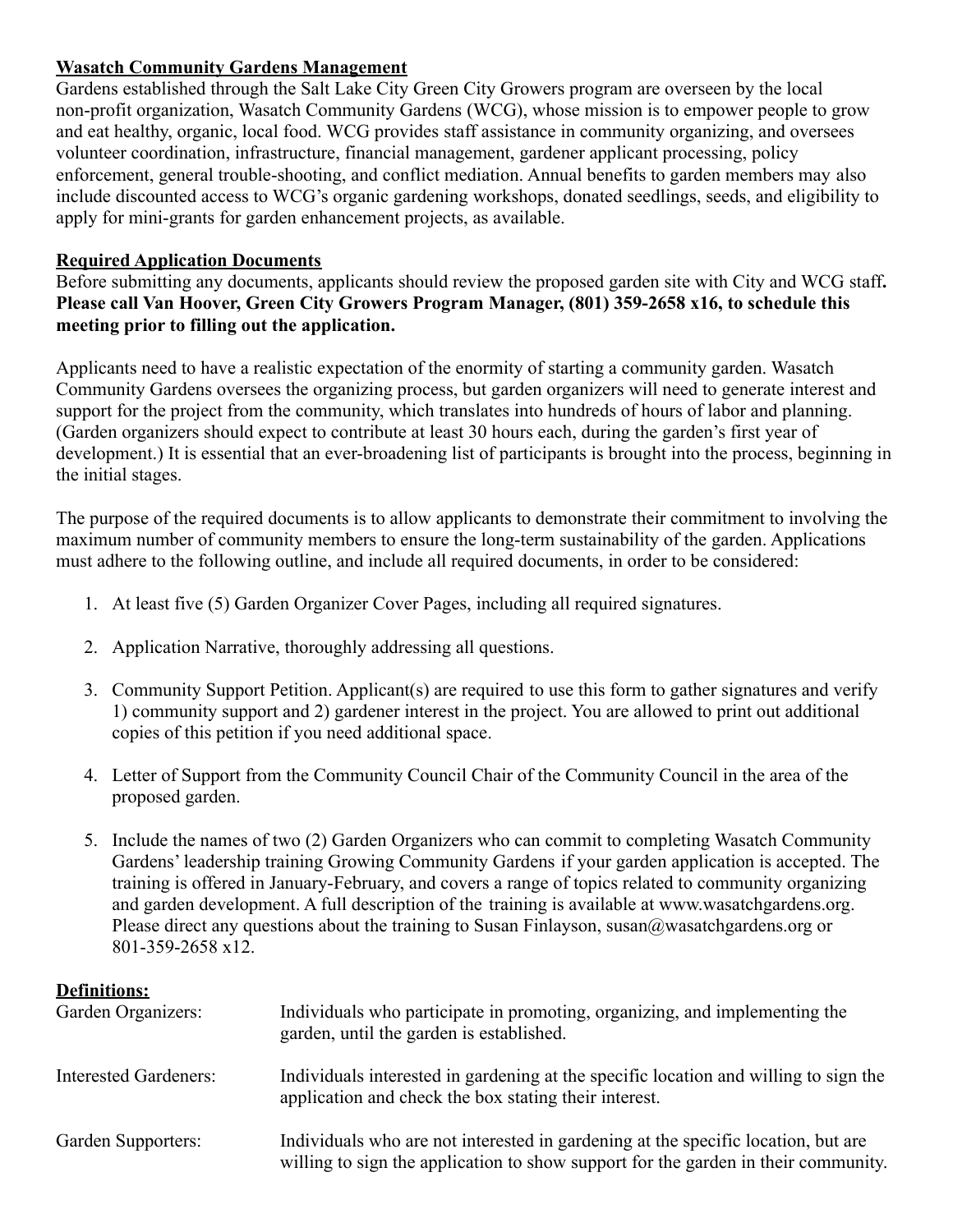#### **Wasatch Community Gardens Management**

Gardens established through the Salt Lake City Green City Growers program are overseen by the local non-profit organization, Wasatch Community Gardens (WCG), whose mission is to empower people to grow and eat healthy, organic, local food. WCG provides staff assistance in community organizing, and oversees volunteer coordination, infrastructure, financial management, gardener applicant processing, policy enforcement, general trouble-shooting, and conflict mediation. Annual benefits to garden members may also include discounted access to WCG's organic gardening workshops, donated seedlings, seeds, and eligibility to apply for mini-grants for garden enhancement projects, as available.

#### **Required Application Documents**

Before submitting any documents, applicants should review the proposed garden site with City and WCG staff**. Please call Van Hoover, Green City Growers Program Manager, (801) 359-2658 x16, to schedule this meeting prior to filling out the application.**

Applicants need to have a realistic expectation of the enormity of starting a community garden. Wasatch Community Gardens oversees the organizing process, but garden organizers will need to generate interest and support for the project from the community, which translates into hundreds of hours of labor and planning. (Garden organizers should expect to contribute at least 30 hours each, during the garden's first year of development.) It is essential that an ever-broadening list of participants is brought into the process, beginning in the initial stages.

The purpose of the required documents is to allow applicants to demonstrate their commitment to involving the maximum number of community members to ensure the long-term sustainability of the garden. Applications must adhere to the following outline, and include all required documents, in order to be considered:

- 1. At least five (5) Garden Organizer Cover Pages, including all required signatures.
- 2. Application Narrative, thoroughly addressing all questions.
- 3. Community Support Petition. Applicant(s) are required to use this form to gather signatures and verify 1) community support and 2) gardener interest in the project. You are allowed to print out additional copies of this petition if you need additional space.
- 4. Letter of Support from the Community Council Chair of the Community Council in the area of the proposed garden.
- 5. Include the names of two (2) Garden Organizers who can commit to completing Wasatch Community Gardens' leadership training Growing Community Gardens if your garden application is accepted. The training is offered in January-February, and covers a range of topics related to community organizing and garden development. A full description of the training is available at www.wasatchgardens.org. Please direct any questions about the training to Susan Finlayson, susan@wasatchgardens.org or 801-359-2658 x12.

#### **Definitions:**

| Garden Organizers:    | Individuals who participate in promoting, organizing, and implementing the<br>garden, until the garden is established.                                                  |
|-----------------------|-------------------------------------------------------------------------------------------------------------------------------------------------------------------------|
| Interested Gardeners: | Individuals interested in gardening at the specific location and willing to sign the<br>application and check the box stating their interest.                           |
| Garden Supporters:    | Individuals who are not interested in gardening at the specific location, but are<br>willing to sign the application to show support for the garden in their community. |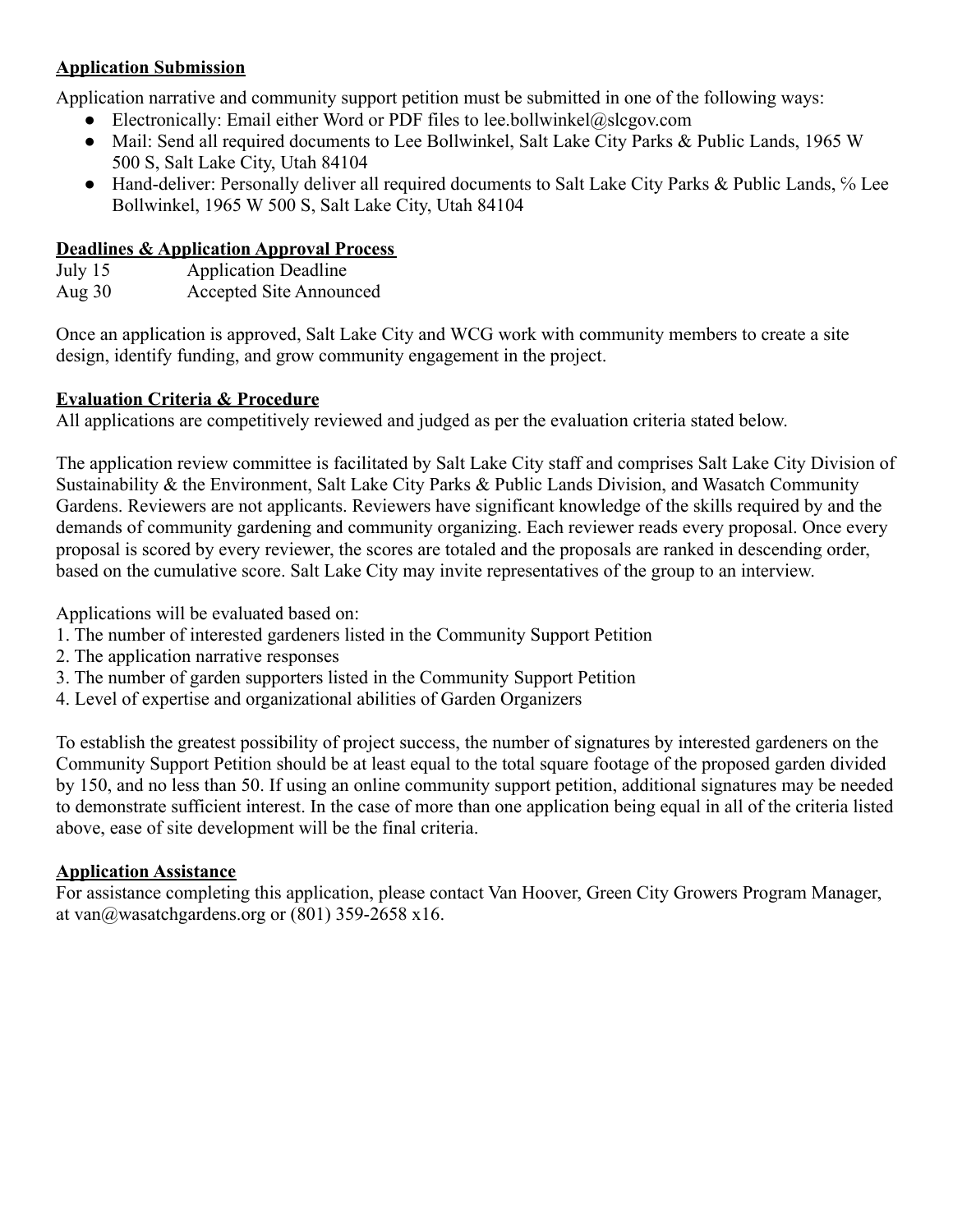### **Application Submission**

Application narrative and community support petition must be submitted in one of the following ways:

- Electronically: Email either Word or PDF files to lee.bollwinkel@slcgov.com
- Mail: Send all required documents to Lee Bollwinkel, Salt Lake City Parks & Public Lands, 1965 W 500 S, Salt Lake City, Utah 84104
- Hand-deliver: Personally deliver all required documents to Salt Lake City Parks & Public Lands, % Lee Bollwinkel, 1965 W 500 S, Salt Lake City, Utah 84104

#### **Deadlines & Application Approval Process**

July 15 Application Deadline Aug 30 Accepted Site Announced

Once an application is approved, Salt Lake City and WCG work with community members to create a site design, identify funding, and grow community engagement in the project.

#### **Evaluation Criteria & Procedure**

All applications are competitively reviewed and judged as per the evaluation criteria stated below.

The application review committee is facilitated by Salt Lake City staff and comprises Salt Lake City Division of Sustainability & the Environment, Salt Lake City Parks & Public Lands Division, and Wasatch Community Gardens. Reviewers are not applicants. Reviewers have significant knowledge of the skills required by and the demands of community gardening and community organizing. Each reviewer reads every proposal. Once every proposal is scored by every reviewer, the scores are totaled and the proposals are ranked in descending order, based on the cumulative score. Salt Lake City may invite representatives of the group to an interview.

Applications will be evaluated based on:

- 1. The number of interested gardeners listed in the Community Support Petition
- 2. The application narrative responses
- 3. The number of garden supporters listed in the Community Support Petition
- 4. Level of expertise and organizational abilities of Garden Organizers

To establish the greatest possibility of project success, the number of signatures by interested gardeners on the Community Support Petition should be at least equal to the total square footage of the proposed garden divided by 150, and no less than 50. If using an online community support petition, additional signatures may be needed to demonstrate sufficient interest. In the case of more than one application being equal in all of the criteria listed above, ease of site development will be the final criteria.

#### **Application Assistance**

For assistance completing this application, please contact Van Hoover, Green City Growers Program Manager, at van $\omega$ wasatchgardens.org or (801) 359-2658 x16.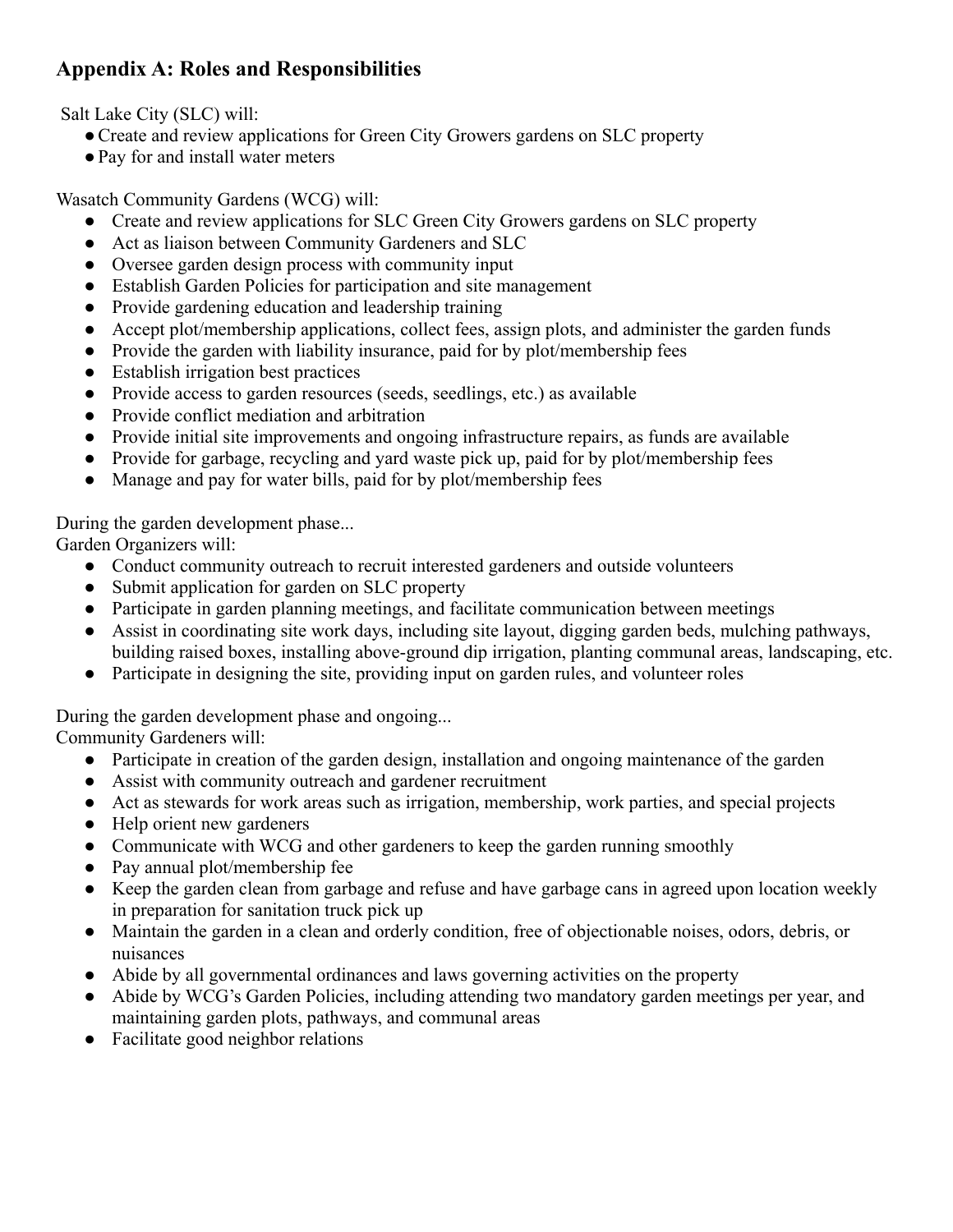# **Appendix A: Roles and Responsibilities**

Salt Lake City (SLC) will:

- Create and review applications for Green City Growers gardens on SLC property
- ●Pay for and install water meters

Wasatch Community Gardens (WCG) will:

- Create and review applications for SLC Green City Growers gardens on SLC property
- Act as liaison between Community Gardeners and SLC
- Oversee garden design process with community input
- Establish Garden Policies for participation and site management
- Provide gardening education and leadership training
- Accept plot/membership applications, collect fees, assign plots, and administer the garden funds
- Provide the garden with liability insurance, paid for by plot/membership fees
- Establish irrigation best practices
- Provide access to garden resources (seeds, seedlings, etc.) as available
- Provide conflict mediation and arbitration
- Provide initial site improvements and ongoing infrastructure repairs, as funds are available
- Provide for garbage, recycling and yard waste pick up, paid for by plot/membership fees
- Manage and pay for water bills, paid for by plot/membership fees

## During the garden development phase...

Garden Organizers will:

- Conduct community outreach to recruit interested gardeners and outside volunteers
- Submit application for garden on SLC property
- Participate in garden planning meetings, and facilitate communication between meetings
- Assist in coordinating site work days, including site layout, digging garden beds, mulching pathways, building raised boxes, installing above-ground dip irrigation, planting communal areas, landscaping, etc.
- Participate in designing the site, providing input on garden rules, and volunteer roles

During the garden development phase and ongoing...

Community Gardeners will:

- Participate in creation of the garden design, installation and ongoing maintenance of the garden
- Assist with community outreach and gardener recruitment
- Act as stewards for work areas such as irrigation, membership, work parties, and special projects
- Help orient new gardeners
- Communicate with WCG and other gardeners to keep the garden running smoothly
- Pay annual plot/membership fee
- Keep the garden clean from garbage and refuse and have garbage cans in agreed upon location weekly in preparation for sanitation truck pick up
- Maintain the garden in a clean and orderly condition, free of objectionable noises, odors, debris, or nuisances
- Abide by all governmental ordinances and laws governing activities on the property
- Abide by WCG's Garden Policies, including attending two mandatory garden meetings per year, and maintaining garden plots, pathways, and communal areas
- Facilitate good neighbor relations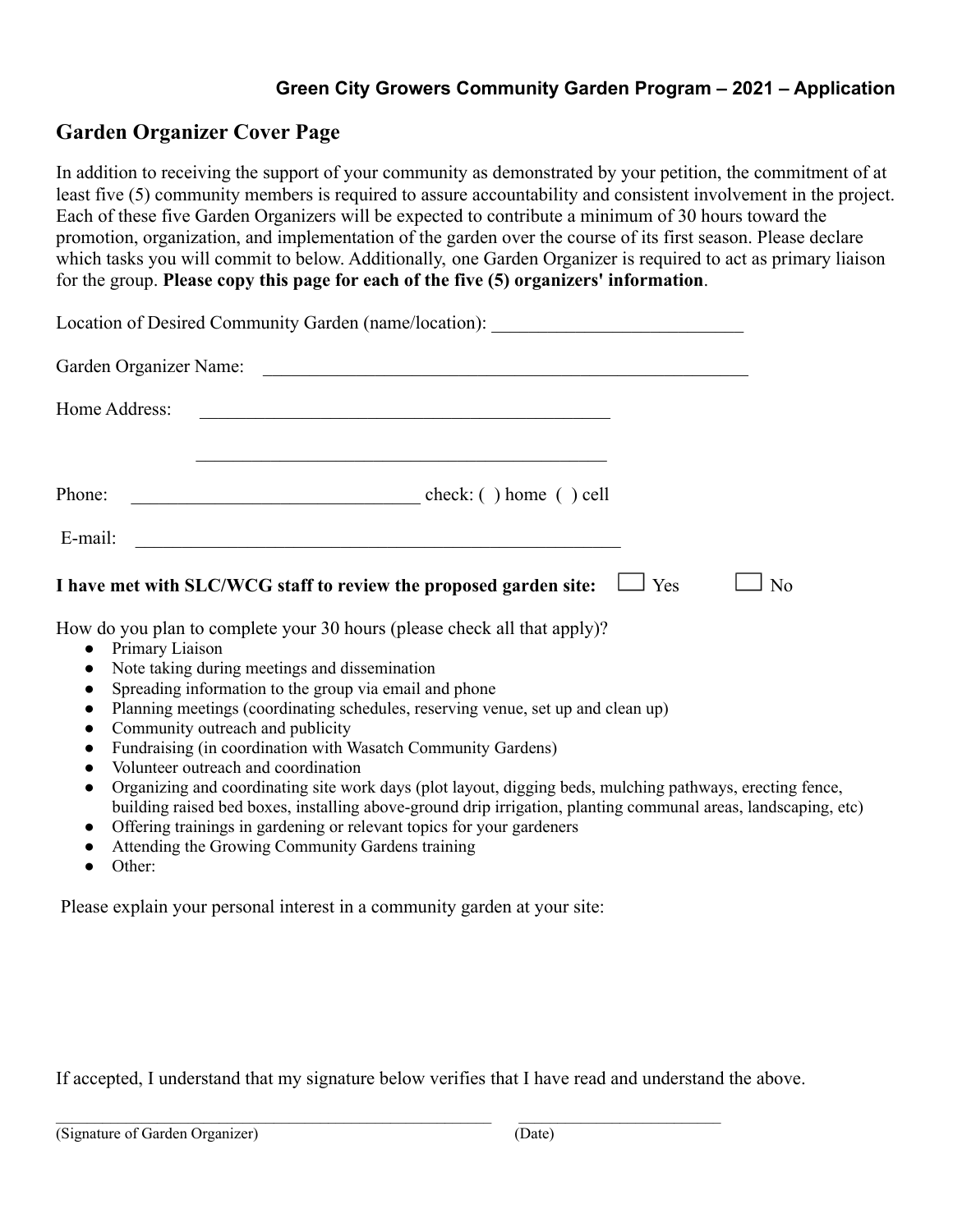## **Green City Growers Community Garden Program – 2021 – Application**

## **Garden Organizer Cover Page**

In addition to receiving the support of your community as demonstrated by your petition, the commitment of at least five (5) community members is required to assure accountability and consistent involvement in the project. Each of these five Garden Organizers will be expected to contribute a minimum of 30 hours toward the promotion, organization, and implementation of the garden over the course of its first season. Please declare which tasks you will commit to below. Additionally, one Garden Organizer is required to act as primary liaison for the group. **Please copy this page for each of the five (5) organizers' information**.

| Location of Desired Community Garden (name/location): __________________________                                                                                                                                                                                                                                                                                                                                                                                                                                                                                                                                                                                                                                                                                  |                  |
|-------------------------------------------------------------------------------------------------------------------------------------------------------------------------------------------------------------------------------------------------------------------------------------------------------------------------------------------------------------------------------------------------------------------------------------------------------------------------------------------------------------------------------------------------------------------------------------------------------------------------------------------------------------------------------------------------------------------------------------------------------------------|------------------|
| Garden Organizer Name:                                                                                                                                                                                                                                                                                                                                                                                                                                                                                                                                                                                                                                                                                                                                            |                  |
| Home Address:                                                                                                                                                                                                                                                                                                                                                                                                                                                                                                                                                                                                                                                                                                                                                     |                  |
|                                                                                                                                                                                                                                                                                                                                                                                                                                                                                                                                                                                                                                                                                                                                                                   |                  |
| E-mail:<br><u> 1989 - Johann Barn, mars ann an t-Amhainn an t-Amhainn an t-Amhainn an t-Amhainn an t-Amhainn an t-Amhainn an </u>                                                                                                                                                                                                                                                                                                                                                                                                                                                                                                                                                                                                                                 |                  |
| I have met with SLC/WCG staff to review the proposed garden site:                                                                                                                                                                                                                                                                                                                                                                                                                                                                                                                                                                                                                                                                                                 | $\Box$ Yes<br>No |
| How do you plan to complete your 30 hours (please check all that apply)?<br>• Primary Liaison<br>Note taking during meetings and dissemination<br>$\bullet$<br>Spreading information to the group via email and phone<br>$\bullet$<br>Planning meetings (coordinating schedules, reserving venue, set up and clean up)<br>$\bullet$<br>Community outreach and publicity<br>$\bullet$<br>Fundraising (in coordination with Wasatch Community Gardens)<br>$\bullet$<br>Volunteer outreach and coordination<br>$\bullet$<br>Organizing and coordinating site work days (plot layout, digging beds, mulching pathways, erecting fence,<br>$\bullet$<br>building raised bed boxes, installing above-ground drip irrigation, planting communal areas, landscaping, etc) |                  |

- Offering trainings in gardening or relevant topics for your gardeners
- Attending the Growing Community Gardens training
- Other:

Please explain your personal interest in a community garden at your site:

If accepted, I understand that my signature below verifies that I have read and understand the above.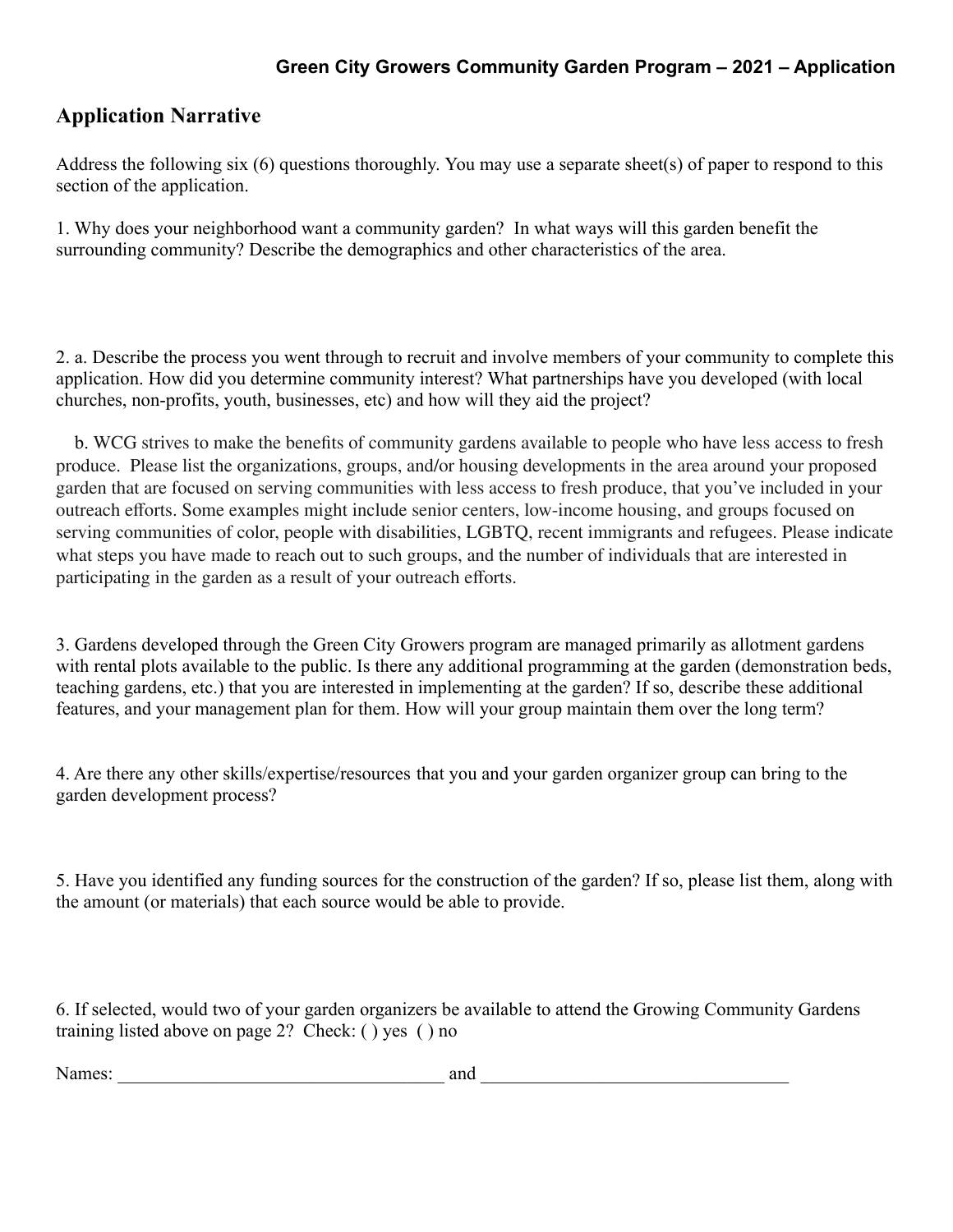# **Application Narrative**

Address the following six (6) questions thoroughly. You may use a separate sheet(s) of paper to respond to this section of the application.

1. Why does your neighborhood want a community garden? In what ways will this garden benefit the surrounding community? Describe the demographics and other characteristics of the area.

2. a. Describe the process you went through to recruit and involve members of your community to complete this application. How did you determine community interest? What partnerships have you developed (with local churches, non-profits, youth, businesses, etc) and how will they aid the project?

b. WCG strives to make the benefits of community gardens available to people who have less access to fresh produce. Please list the organizations, groups, and/or housing developments in the area around your proposed garden that are focused on serving communities with less access to fresh produce, that you've included in your outreach efforts. Some examples might include senior centers, low-income housing, and groups focused on serving communities of color, people with disabilities, LGBTQ, recent immigrants and refugees. Please indicate what steps you have made to reach out to such groups, and the number of individuals that are interested in participating in the garden as a result of your outreach efforts.

3. Gardens developed through the Green City Growers program are managed primarily as allotment gardens with rental plots available to the public. Is there any additional programming at the garden (demonstration beds, teaching gardens, etc.) that you are interested in implementing at the garden? If so, describe these additional features, and your management plan for them. How will your group maintain them over the long term?

4. Are there any other skills/expertise/resources that you and your garden organizer group can bring to the garden development process?

5. Have you identified any funding sources for the construction of the garden? If so, please list them, along with the amount (or materials) that each source would be able to provide.

6. If selected, would two of your garden organizers be available to attend the Growing Community Gardens training listed above on page 2? Check: ( ) yes ( ) no

Names: \_\_\_\_\_\_\_\_\_\_\_\_\_\_\_\_\_\_\_\_\_\_\_\_\_\_\_\_\_\_\_\_\_\_\_ and \_\_\_\_\_\_\_\_\_\_\_\_\_\_\_\_\_\_\_\_\_\_\_\_\_\_\_\_\_\_\_\_\_